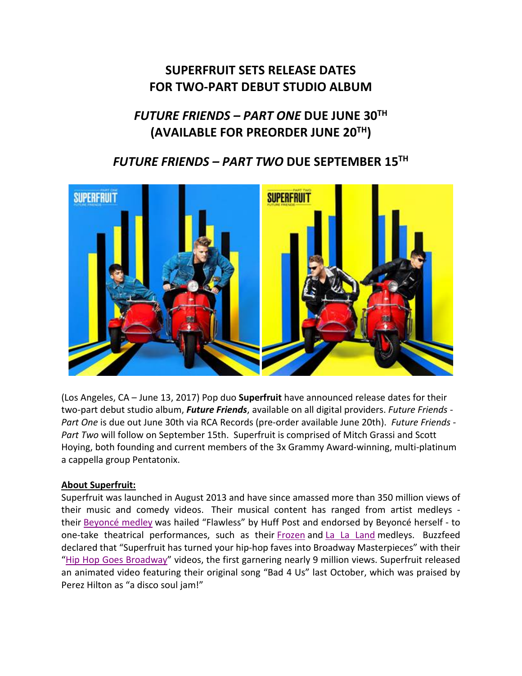# **SUPERFRUIT SETS RELEASE DATES FOR TWO-PART DEBUT STUDIO ALBUM**

# *FUTURE FRIENDS – PART ONE* **DUE JUNE 30TH (AVAILABLE FOR PREORDER JUNE 20TH)**

## *FUTURE FRIENDS – PART TWO* **DUE SEPTEMBER 15TH**



(Los Angeles, CA – June 13, 2017) Pop duo **Superfruit** have announced release dates for their two-part debut studio album, *Future Friends*, available on all digital providers. *Future Friends - Part One* is due out June 30th via RCA Records (pre-order available June 20th). *Future Friends - Part Two* will follow on September 15th. Superfruit is comprised of Mitch Grassi and Scott Hoying, both founding and current members of the 3x Grammy Award-winning, multi-platinum a cappella group Pentatonix.

#### **About Superfruit:**

Superfruit was launched in August 2013 and have since amassed more than 350 million views of their music and comedy videos. Their musical content has ranged from artist medleys their [Beyoncé medley](https://www.youtube.com/watch?v=SPgoufy8PrE) was hailed "Flawless" by Huff Post and endorsed by Beyoncé herself - to one-take theatrical performances, such as their [Frozen](https://www.youtube.com/watch?v=tA53EsnzlIg) and [La La Land](https://www.youtube.com/watch?v=ulqITdbKP1c) medleys. Buzzfeed declared that "Superfruit has turned your hip-hop faves into Broadway Masterpieces" with their ["Hip Hop Goes Broadway"](https://www.youtube.com/watch?v=ohBTKf6XZME) videos, the first garnering nearly 9 million views. Superfruit released an animated video featuring their original song "Bad 4 Us" last October, which was praised by Perez Hilton as "a disco soul jam!"